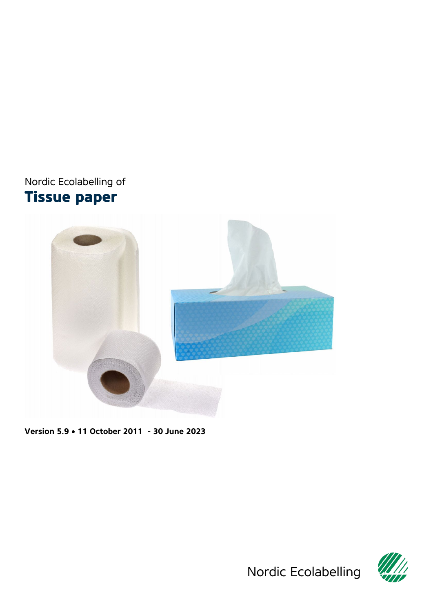# <span id="page-0-0"></span>Nordic Ecolabelling of **Tissue paper**



<span id="page-0-1"></span>**Version 5.9** • **11 October 2011 - 30 June 2023**



Nordic Ecolabelling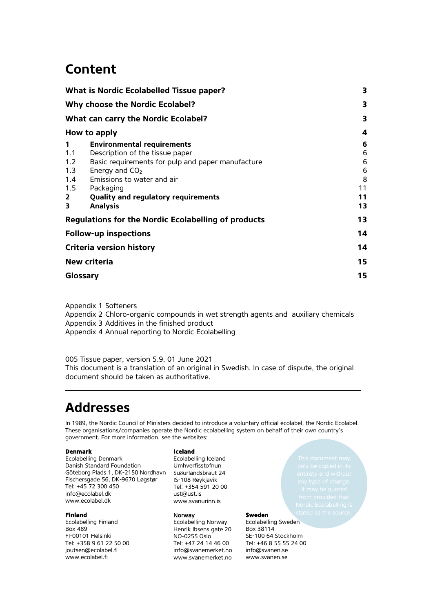# **Content**

|                | <b>What is Nordic Ecolabelled Tissue paper?</b>            | 3  |
|----------------|------------------------------------------------------------|----|
|                | Why choose the Nordic Ecolabel?                            | 3  |
|                | What can carry the Nordic Ecolabel?                        | 3  |
|                | How to apply                                               | 4  |
| 1              | <b>Environmental requirements</b>                          | 6  |
| 1.1            | Description of the tissue paper                            | 6  |
| 1.2            | Basic requirements for pulp and paper manufacture          | 6  |
| 1.3            | Energy and $CO2$                                           | 6  |
| 1.4            | Emissions to water and air                                 | 8  |
| 1.5            | Packaging                                                  | 11 |
| $\overline{2}$ | Quality and regulatory requirements                        | 11 |
| 3              | <b>Analysis</b>                                            | 13 |
|                | <b>Regulations for the Nordic Ecolabelling of products</b> | 13 |
|                | <b>Follow-up inspections</b>                               | 14 |
|                | <b>Criteria version history</b>                            | 14 |
|                | New criteria                                               | 15 |
|                | Glossary                                                   | 15 |
|                |                                                            |    |

[Appendix 1](#page-15-0) Softeners

Appendix 2 [Chloro-organic compounds in wet strength agents and auxiliary chemicals](#page-16-0) Appendix 3 [Additives in the finished product](#page-18-0) Appendix 4 [Annual reporting to Nordic Ecolabelling](#page-19-0)

<span id="page-1-0"></span>005 [Tissue paper,](#page-0-0) version [5.9,](#page-0-1) 01 June 2021 This document is a translation of an original in Swedish. In case of dispute, the original document should be taken as authoritative.

# **Addresses**

In 1989, the Nordic Council of Ministers decided to introduce a voluntary official ecolabel, the Nordic Ecolabel. These organisations/companies operate the Nordic ecolabelling system on behalf of their own country's government. For more information, see the websites:

#### **Denmark**

Ecolabelling Denmark Danish Standard Foundation Göteborg Plads 1, DK-2150 Nordhavn Fischersgade 56, DK-9670 Løgstør Tel: +45 72 300 450 info@ecolabel.dk www.ecolabel.dk

#### **Finland**

Ecolabelling Finland Box 489 FI-00101 Helsinki Tel: +358 9 61 22 50 00 joutsen@ecolabel.fi www.ecolabel.fi

#### <span id="page-1-1"></span>**Iceland**

Ecolabelling Iceland Umhverfisstofnun Suδurlandsbraut 24 IS-108 Reykjavik Tel: +354 591 20 00 ust@ust.is [www.svanurinn.is](http://www.svanurinn.is/)

#### Norway

Ecolabelling Norway Henrik Ibsens gate 20 NO-0255 Oslo Tel: +47 24 14 46 00 info@svanemerket.no www.svanemerket.no

#### **Sweden**

Ecolabelling Sweden Box 38114 SE-100 64 Stockholm Tel: +46 8 55 55 24 00 info@svanen.se www.svanen.se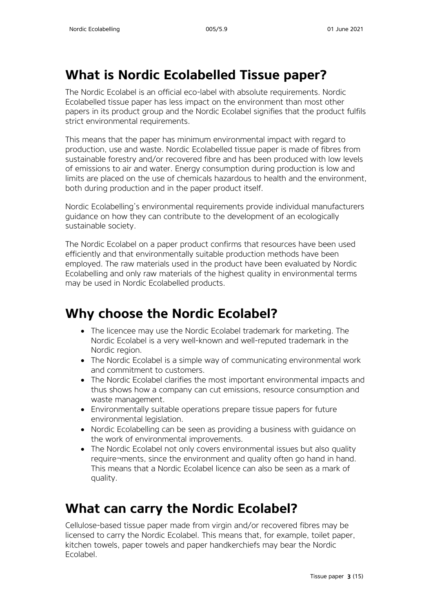# <span id="page-2-0"></span>**What is Nordic Ecolabelled Tissue paper?**

The Nordic Ecolabel is an official eco-label with absolute requirements. Nordic Ecolabelled tissue paper has less impact on the environment than most other papers in its product group and the Nordic Ecolabel signifies that the product fulfils strict environmental requirements.

This means that the paper has minimum environmental impact with regard to production, use and waste. Nordic Ecolabelled tissue paper is made of fibres from sustainable forestry and/or recovered fibre and has been produced with low levels of emissions to air and water. Energy consumption during production is low and limits are placed on the use of chemicals hazardous to health and the environment, both during production and in the paper product itself.

Nordic Ecolabelling's environmental requirements provide individual manufacturers guidance on how they can contribute to the development of an ecologically sustainable society.

The Nordic Ecolabel on a paper product confirms that resources have been used efficiently and that environmentally suitable production methods have been employed. The raw materials used in the product have been evaluated by Nordic Ecolabelling and only raw materials of the highest quality in environmental terms may be used in Nordic Ecolabelled products.

# <span id="page-2-1"></span>**Why choose the Nordic Ecolabel?**

- The licencee may use the Nordic Ecolabel trademark for marketing. The Nordic Ecolabel is a very well-known and well-reputed trademark in the Nordic region.
- The Nordic Ecolabel is a simple way of communicating environmental work and commitment to customers.
- The Nordic Ecolabel clarifies the most important environmental impacts and thus shows how a company can cut emissions, resource consumption and waste management.
- Environmentally suitable operations prepare tissue papers for future environmental legislation.
- Nordic Ecolabelling can be seen as providing a business with guidance on the work of environmental improvements.
- The Nordic Ecolabel not only covers environmental issues but also quality require¬ments, since the environment and quality often go hand in hand. This means that a Nordic Ecolabel licence can also be seen as a mark of quality.

# <span id="page-2-2"></span>**What can carry the Nordic Ecolabel?**

Cellulose-based tissue paper made from virgin and/or recovered fibres may be licensed to carry the Nordic Ecolabel. This means that, for example, toilet paper, kitchen towels, paper towels and paper handkerchiefs may bear the Nordic Ecolabel.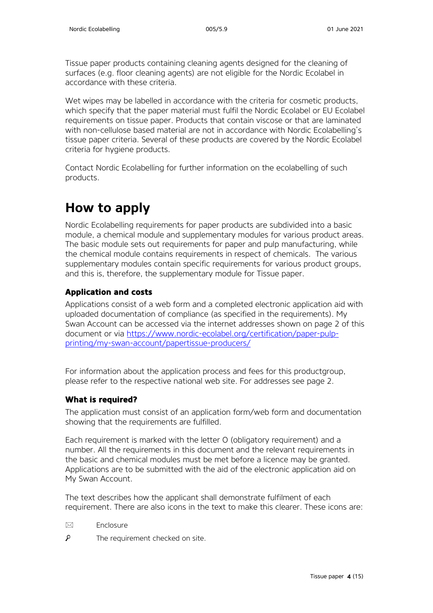Tissue paper products containing cleaning agents designed for the cleaning of surfaces (e.g. floor cleaning agents) are not eligible for the Nordic Ecolabel in accordance with these criteria.

Wet wipes may be labelled in accordance with the criteria for cosmetic products, which specify that the paper material must fulfil the Nordic Ecolabel or EU Ecolabel requirements on tissue paper. Products that contain viscose or that are laminated with non-cellulose based material are not in accordance with Nordic Ecolabelling's tissue paper criteria. Several of these products are covered by the Nordic Ecolabel criteria for hygiene products.

Contact Nordic Ecolabelling for further information on the ecolabelling of such products.

# <span id="page-3-0"></span>**How to apply**

Nordic Ecolabelling requirements for paper products are subdivided into a basic module, a chemical module and supplementary modules for various product areas. The basic module sets out requirements for paper and pulp manufacturing, while the chemical module contains requirements in respect of chemicals. The various supplementary modules contain specific requirements for various product groups, and this is, therefore, the supplementary module for Tissue paper.

#### **Application and costs**

Applications consist of a web form and a completed electronic application aid with uploaded documentation of compliance (as specified in the requirements). My Swan Account can be accessed via the internet addresses shown on page 2 of this document or via [https://www.nordic-ecolabel.org/certification/paper-pulp](https://www.nordic-ecolabel.org/certification/paper-pulp-printing/my-swan-account/papertissue-producers/)[printing/my-swan-account/papertissue-producers/](https://www.nordic-ecolabel.org/certification/paper-pulp-printing/my-swan-account/papertissue-producers/)

For information about the application process and fees for this productgroup. please refer to the respective national web site. For addresses see page 2.

#### **What is required?**

The application must consist of an application form/web form and documentation showing that the requirements are fulfilled.

Each requirement is marked with the letter O (obligatory requirement) and a number. All the requirements in this document and the relevant requirements in the basic and chemical modules must be met before a licence may be granted. Applications are to be submitted with the aid of the electronic application aid on My Swan Account.

The text describes how the applicant shall demonstrate fulfilment of each requirement. There are also icons in the text to make this clearer. These icons are:

- $\boxtimes$  Enclosure
- م The requirement checked on site.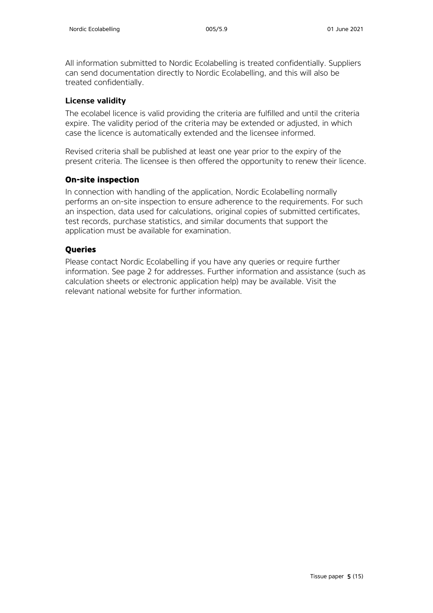All information submitted to Nordic Ecolabelling is treated confidentially. Suppliers can send documentation directly to Nordic Ecolabelling, and this will also be treated confidentially.

#### **License validity**

The ecolabel licence is valid providing the criteria are fulfilled and until the criteria expire. The validity period of the criteria may be extended or adjusted, in which case the licence is automatically extended and the licensee informed.

Revised criteria shall be published at least one year prior to the expiry of the present criteria. The licensee is then offered the opportunity to renew their licence.

#### **On-site inspection**

In connection with handling of the application, Nordic Ecolabelling normally performs an on-site inspection to ensure adherence to the requirements. For such an inspection, data used for calculations, original copies of submitted certificates, test records, purchase statistics, and similar documents that support the application must be available for examination.

#### **Queries**

Please contact Nordic Ecolabelling if you have any queries or require further information. See page 2 for addresses. Further information and assistance (such as calculation sheets or electronic application help) may be available. Visit the relevant national website for further information.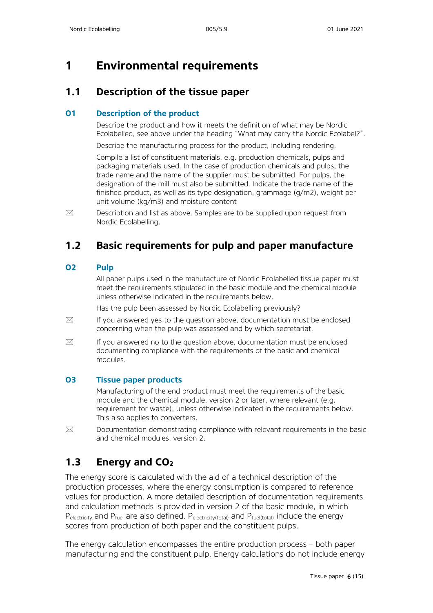## <span id="page-5-0"></span>**1 Environmental requirements**

### <span id="page-5-1"></span>**1.1 Description of the tissue paper**

#### **O1 Description of the product**

Describe the product and how it meets the definition of what may be Nordic Ecolabelled, see above under the heading "What may carry the Nordic Ecolabel?".

Describe the manufacturing process for the product, including rendering.

Compile a list of constituent materials, e.g. production chemicals, pulps and packaging materials used. In the case of production chemicals and pulps, the trade name and the name of the supplier must be submitted. For pulps, the designation of the mill must also be submitted. Indicate the trade name of the finished product, as well as its type designation, grammage (g/m2), weight per unit volume (kg/m3) and moisture content

 $\boxtimes$  Description and list as above. Samples are to be supplied upon request from Nordic Ecolabelling.

### <span id="page-5-2"></span>**1.2 Basic requirements for pulp and paper manufacture**

#### **O2 Pulp**

All paper pulps used in the manufacture of Nordic Ecolabelled tissue paper must meet the requirements stipulated in the basic module and the chemical module unless otherwise indicated in the requirements below.

Has the pulp been assessed by Nordic Ecolabelling previously?

- $\boxtimes$  If you answered yes to the question above, documentation must be enclosed concerning when the pulp was assessed and by which secretariat.
- $\boxtimes$  If you answered no to the question above, documentation must be enclosed documenting compliance with the requirements of the basic and chemical modules.

#### **O3 Tissue paper products**

Manufacturing of the end product must meet the requirements of the basic module and the chemical module, version 2 or later, where relevant (e.g. requirement for waste), unless otherwise indicated in the requirements below. This also applies to converters.

 $\boxtimes$  Documentation demonstrating compliance with relevant requirements in the basic and chemical modules, version 2.

### <span id="page-5-3"></span>**1.3 Energy and CO2**

The energy score is calculated with the aid of a technical description of the production processes, where the energy consumption is compared to reference values for production. A more detailed description of documentation requirements and calculation methods is provided in version 2 of the basic module, in which  $P_{\text{electricity}}$  and  $P_{\text{fuel}}$  are also defined.  $P_{\text{electricity}(\text{total})}$  and  $P_{\text{fuel}(\text{total})}$  include the energy scores from production of both paper and the constituent pulps.

The energy calculation encompasses the entire production process – both paper manufacturing and the constituent pulp. Energy calculations do not include energy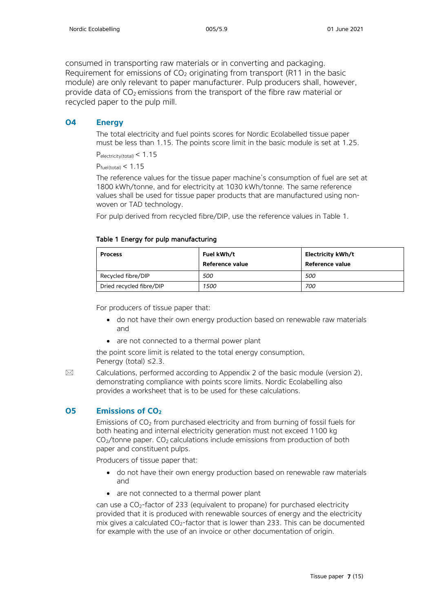consumed in transporting raw materials or in converting and packaging. Requirement for emissions of  $CO<sub>2</sub>$  originating from transport (R11 in the basic module) are only relevant to paper manufacturer. Pulp producers shall, however, provide data of  $CO<sub>2</sub>$  emissions from the transport of the fibre raw material or recycled paper to the pulp mill.

#### **O4 Energy**

The total electricity and fuel points scores for Nordic Ecolabelled tissue paper must be less than 1.15. The points score limit in the basic module is set at 1.25.

Pelectricity(total) < 1.15

 $P_{\text{fuel}(\text{total})} < 1.15$ 

The reference values for the tissue paper machine's consumption of fuel are set at 1800 kWh/tonne, and for electricity at 1030 kWh/tonne. The same reference values shall be used for tissue paper products that are manufactured using nonwoven or TAD technology.

For pulp derived from recycled fibre/DIP, use the reference values in Table 1.

#### Table 1 Energy for pulp manufacturing

| <b>Process</b>           | Fuel kWh/t<br>Reference value | Electricity kWh/t<br>Reference value |
|--------------------------|-------------------------------|--------------------------------------|
| Recycled fibre/DIP       | 500                           | 500                                  |
| Dried recycled fibre/DIP | 1500                          | 700                                  |

For producers of tissue paper that:

- do not have their own energy production based on renewable raw materials and
- are not connected to a thermal power plant

the point score limit is related to the total energy consumption, Penergy (total) ≤2.3.

 $\boxtimes$  Calculations, performed according to Appendix 2 of the basic module (version 2), demonstrating compliance with points score limits. Nordic Ecolabelling also provides a worksheet that is to be used for these calculations.

#### **O5 Emissions of CO<sub>2</sub>**

Emissions of  $CO<sub>2</sub>$  from purchased electricity and from burning of fossil fuels for both heating and internal electricity generation must not exceed 1100 kg  $CO<sub>2</sub>/tonne paper.  $CO<sub>2</sub>$  calculations include emissions from production of both$ paper and constituent pulps.

Producers of tissue paper that:

- do not have their own energy production based on renewable raw materials and
- are not connected to a thermal power plant

can use a CO2-factor of 233 (equivalent to propane) for purchased electricity provided that it is produced with renewable sources of energy and the electricity mix gives a calculated  $CO<sub>2</sub>$ -factor that is lower than 233. This can be documented for example with the use of an invoice or other documentation of origin.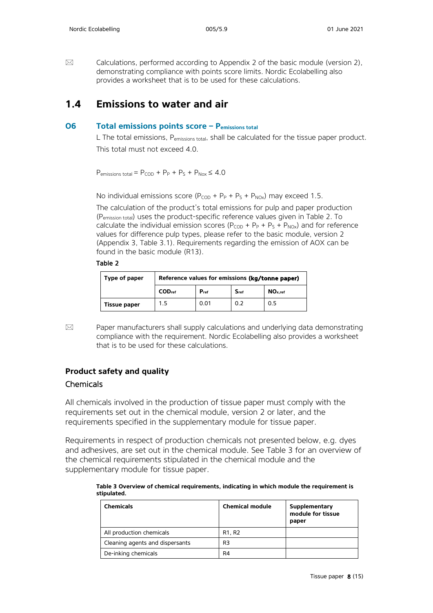$\boxtimes$  Calculations, performed according to Appendix 2 of the basic module (version 2), demonstrating compliance with points score limits. Nordic Ecolabelling also provides a worksheet that is to be used for these calculations.

### <span id="page-7-0"></span>**1.4 Emissions to water and air**

#### **O6 Total emissions points score – Pemissions total**

L The total emissions, Pemissions total, shall be calculated for the tissue paper product. This total must not exceed 4.0.

 $P_{\text{emissions total}} = P_{\text{COD}} + P_{\text{P}} + P_{\text{S}} + P_{\text{Nox}} \le 4.0$ 

No individual emissions score ( $P_{COD}$  +  $P_P$  +  $P_S$  +  $P_{NOX}$ ) may exceed 1.5.

The calculation of the product's total emissions for pulp and paper production (Pemission total) uses the product-specific reference values given in Table 2. To calculate the individual emission scores  $(P_{COD} + P_P + P_S + P_{NOX})$  and for reference values for difference pulp types, please refer to the basic module, version 2 (Appendix 3, Table 3.1). Requirements regarding the emission of AOX can be found in the basic module (R13).

#### Table 2

| Type of paper       | Reference values for emissions (kg/tonne paper) |           |           |                     |
|---------------------|-------------------------------------------------|-----------|-----------|---------------------|
|                     | COD <sub>ref</sub>                              | $P_{ref}$ | $S_{ref}$ | NO <sub>x.ref</sub> |
| <b>Tissue paper</b> | 1.5                                             | 0.01      | 0.2       | 0.5                 |

 $\boxtimes$  Paper manufacturers shall supply calculations and underlying data demonstrating compliance with the requirement. Nordic Ecolabelling also provides a worksheet that is to be used for these calculations.

### **Product safety and quality** Chemicals

All chemicals involved in the production of tissue paper must comply with the requirements set out in the chemical module, version 2 or later, and the requirements specified in the supplementary module for tissue paper.

Requirements in respect of production chemicals not presented below, e.g. dyes and adhesives, are set out in the chemical module. See Table 3 for an overview of the chemical requirements stipulated in the chemical module and the supplementary module for tissue paper.

**Table 3 Overview of chemical requirements, indicating in which module the requirement is stipulated.**

| <b>Chemicals</b>                | <b>Chemical module</b>          | Supplementary<br>module for tissue<br>paper |
|---------------------------------|---------------------------------|---------------------------------------------|
| All production chemicals        | R <sub>1</sub> , R <sub>2</sub> |                                             |
| Cleaning agents and dispersants | R3                              |                                             |
| De-inking chemicals             | R4                              |                                             |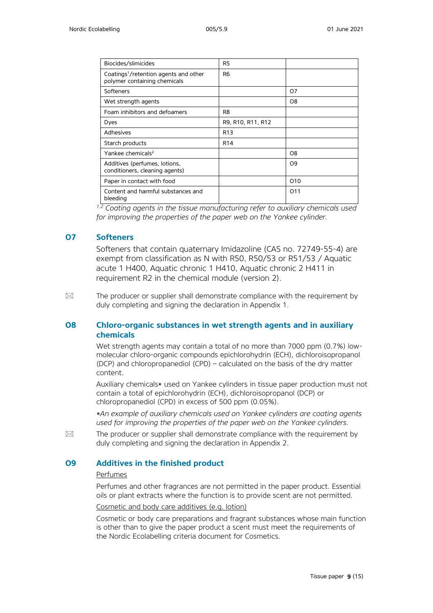| Biocides/slimicides                                                               | R <sub>5</sub>    |                |
|-----------------------------------------------------------------------------------|-------------------|----------------|
| Coatings <sup>1</sup> /retention agents and other<br>polymer containing chemicals | R <sub>6</sub>    |                |
| Softeners                                                                         |                   | 07             |
| Wet strength agents                                                               |                   | O8             |
| Foam inhibitors and defoamers                                                     | R <sub>8</sub>    |                |
| Dyes                                                                              | R9, R10, R11, R12 |                |
| Adhesives                                                                         | R <sub>13</sub>   |                |
| Starch products                                                                   | R <sub>14</sub>   |                |
| Yankee chemicals <sup>2</sup>                                                     |                   | O8             |
| Additives (perfumes, lotions,<br>conditioners, cleaning agents)                   |                   | O <sub>9</sub> |
| Paper in contact with food                                                        |                   | 010            |
| Content and harmful substances and<br>bleeding                                    |                   | 011            |

*1,2 Coating agents in the tissue manufacturing refer to auxiliary chemicals used for improving the properties of the paper web on the Yankee cylinder.*

#### **O7 Softeners**

Softeners that contain quaternary Imidazoline (CAS no. 72749-55-4) are exempt from classification as N with R50, R50/53 or R51/53 / Aquatic acute 1 H400, Aquatic chronic 1 H410, Aquatic chronic 2 H411 in requirement R2 in the chemical module (version 2).

 $\boxtimes$  The producer or supplier shall demonstrate compliance with the requirement by duly completing and signing the declaration in Appendix 1.

#### **O8 Chloro-organic substances in wet strength agents and in auxiliary chemicals**

Wet strength agents may contain a total of no more than 7000 ppm (0.7%) lowmolecular chloro-organic compounds epichlorohydrin (ECH), dichloroisopropanol (DCP) and chloropropanediol (CPD) – calculated on the basis of the dry matter content.

Auxiliary chemicals\* used on Yankee cylinders in tissue paper production must not contain a total of epichlorohydrin (ECH), dichloroisopropanol (DCP) or chloropropanediol (CPD) in excess of 500 ppm (0.05%).

*\*An example of auxiliary chemicals used on Yankee cylinders are coating agents used for improving the properties of the paper web on the Yankee cylinders.*

 $\boxtimes$  The producer or supplier shall demonstrate compliance with the requirement by duly completing and signing the declaration in Appendix 2.

#### **O9 Additives in the finished product**

#### Perfumes

Perfumes and other fragrances are not permitted in the paper product. Essential oils or plant extracts where the function is to provide scent are not permitted.

Cosmetic and body care additives (e.g. lotion)

Cosmetic or body care preparations and fragrant substances whose main function is other than to give the paper product a scent must meet the requirements of the Nordic Ecolabelling criteria document for Cosmetics.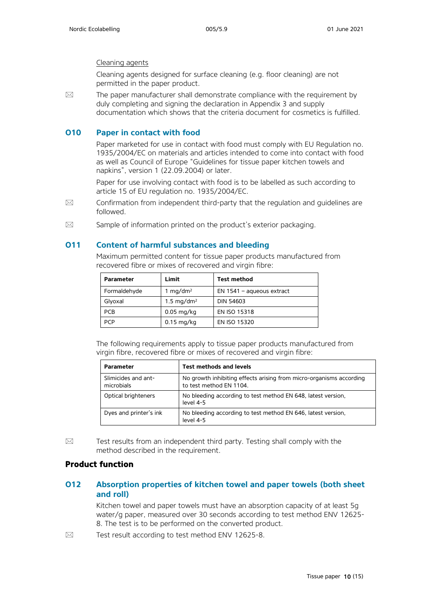#### Cleaning agents

Cleaning agents designed for surface cleaning (e.g. floor cleaning) are not permitted in the paper product.

 $\boxtimes$  The paper manufacturer shall demonstrate compliance with the requirement by duly completing and signing the declaration in Appendix 3 and supply documentation which shows that the criteria document for cosmetics is fulfilled.

#### **O10 Paper in contact with food**

Paper marketed for use in contact with food must comply with EU Regulation no. 1935/2004/EC on materials and articles intended to come into contact with food as well as Council of Europe "Guidelines for tissue paper kitchen towels and napkins", version 1 (22.09.2004) or later.

Paper for use involving contact with food is to be labelled as such according to article 15 of EU regulation no. 1935/2004/EC.

- $\boxtimes$  Confirmation from independent third-party that the regulation and guidelines are followed.
- $\boxtimes$  Sample of information printed on the product's exterior packaging.

#### **O11 Content of harmful substances and bleeding**

Maximum permitted content for tissue paper products manufactured from recovered fibre or mixes of recovered and virgin fibre:

| <b>Parameter</b> | Limit                 | <b>Test method</b>          |
|------------------|-----------------------|-----------------------------|
| Formaldehyde     | 1 mg/dm <sup>2</sup>  | $EN$ 1541 – aqueous extract |
| Glyoxal          | $1.5 \text{ mg/dm}^2$ | <b>DIN 54603</b>            |
| <b>PCB</b>       | $0.05$ mg/kg          | EN ISO 15318                |
| PCP              | $0.15$ mg/kg          | EN ISO 15320                |

The following requirements apply to tissue paper products manufactured from virgin fibre, recovered fibre or mixes of recovered and virgin fibre:

| <b>Parameter</b>                  | <b>Test methods and levels</b>                                                                 |
|-----------------------------------|------------------------------------------------------------------------------------------------|
| Slimicides and ant-<br>microbials | No growth inhibiting effects arising from micro-organisms according<br>to test method EN 1104. |
| Optical brighteners               | No bleeding according to test method EN 648, latest version,<br>level 4-5                      |
| Dyes and printer's ink            | No bleeding according to test method EN 646, latest version,<br>level 4-5                      |

 $\boxtimes$  Test results from an independent third party. Testing shall comply with the method described in the requirement.

#### **Product function**

#### **O12 Absorption properties of kitchen towel and paper towels (both sheet and roll)**

Kitchen towel and paper towels must have an absorption capacity of at least 5g water/g paper, measured over 30 seconds according to test method ENV 12625- 8. The test is to be performed on the converted product.

 $\boxtimes$  Test result according to test method ENV 12625-8.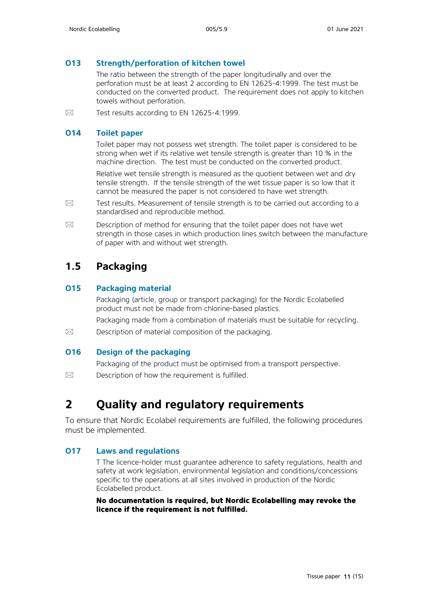#### **O13 Strength/perforation of kitchen towel**

The ratio between the strength of the paper longitudinally and over the perforation must be at least 2 according to EN 12625-4:1999. The test must be conducted on the converted product. The requirement does not apply to kitchen towels without perforation.

 $\boxtimes$  Test results according to EN 12625-4:1999.

#### **O14 Toilet paper**

Toilet paper may not possess wet strength. The toilet paper is considered to be strong when wet if its relative wet tensile strength is greater than 10 % in the machine direction. The test must be conducted on the converted product.

Relative wet tensile strength is measured as the quotient between wet and dry tensile strength. If the tensile strength of the wet tissue paper is so low that it cannot be measured the paper is not considered to have wet strength.

- $\boxtimes$  Test results. Measurement of tensile strength is to be carried out according to a standardised and reproducible method.
- $\boxtimes$  Description of method for ensuring that the toilet paper does not have wet strength in those cases in which production lines switch between the manufacture of paper with and without wet strength.

### <span id="page-10-0"></span>**1.5 Packaging**

#### **O15 Packaging material**

Packaging (article, group or transport packaging) for the Nordic Ecolabelled product must not be made from chlorine-based plastics.

Packaging made from a combination of materials must be suitable for recycling.

 $\boxtimes$  Description of material composition of the packaging.

#### **O16 Design of the packaging**

Packaging of the product must be optimised from a transport perspective.

 $\boxtimes$  Description of how the requirement is fulfilled.

## <span id="page-10-1"></span>**2 Quality and regulatory requirements**

To ensure that Nordic Ecolabel requirements are fulfilled, the following procedures must be implemented.

#### **O17 Laws and regulations**

T The licence-holder must guarantee adherence to safety regulations, health and safety at work legislation, environmental legislation and conditions/concessions specific to the operations at all sites involved in production of the Nordic Ecolabelled product.

**No documentation is required, but Nordic Ecolabelling may revoke the licence if the requirement is not fulfilled.**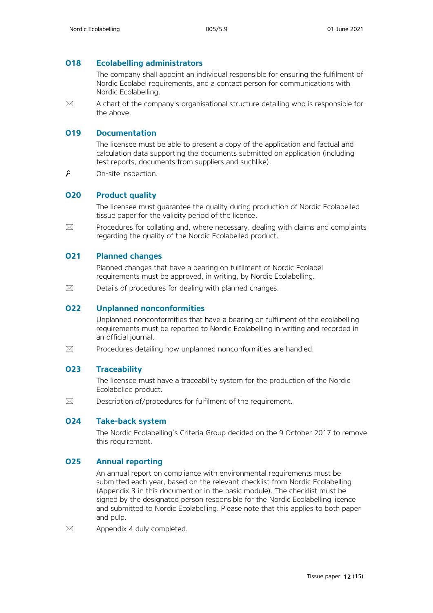#### **O18 Ecolabelling administrators**

The company shall appoint an individual responsible for ensuring the fulfilment of Nordic Ecolabel requirements, and a contact person for communications with Nordic Ecolabelling.

 $\boxtimes$  A chart of the company's organisational structure detailing who is responsible for the above.

#### **O19 Documentation**

The licensee must be able to present a copy of the application and factual and calculation data supporting the documents submitted on application (including test reports, documents from suppliers and suchlike).

 $\mathcal{L}$ On-site inspection.

#### **O20 Product quality**

The licensee must guarantee the quality during production of Nordic Ecolabelled tissue paper for the validity period of the licence.

 $\boxtimes$  Procedures for collating and, where necessary, dealing with claims and complaints regarding the quality of the Nordic Ecolabelled product.

#### **O21 Planned changes**

Planned changes that have a bearing on fulfilment of Nordic Ecolabel requirements must be approved, in writing, by Nordic Ecolabelling.

 $\boxtimes$  Details of procedures for dealing with planned changes.

#### **O22 Unplanned nonconformities**

Unplanned nonconformities that have a bearing on fulfilment of the ecolabelling requirements must be reported to Nordic Ecolabelling in writing and recorded in an official journal.

 $\boxtimes$  Procedures detailing how unplanned nonconformities are handled.

#### **O23 Traceability**

The licensee must have a traceability system for the production of the Nordic Ecolabelled product.

 $\boxtimes$  Description of/procedures for fulfilment of the requirement.

#### **O24 Take-back system**

The Nordic Ecolabelling's Criteria Group decided on the 9 October 2017 to remove this requirement.

#### **O25 Annual reporting**

An annual report on compliance with environmental requirements must be submitted each year, based on the relevant checklist from Nordic Ecolabelling (Appendix 3 in this document or in the basic module). The checklist must be signed by the designated person responsible for the Nordic Ecolabelling licence and submitted to Nordic Ecolabelling. Please note that this applies to both paper and pulp.

 $\boxtimes$  Appendix 4 duly completed.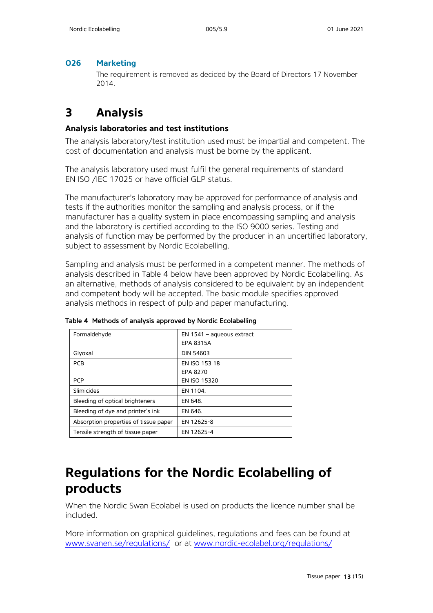#### **O26 Marketing**

The requirement is removed as decided by the Board of Directors 17 November 2014.

### <span id="page-12-0"></span>**3 Analysis**

#### **Analysis laboratories and test institutions**

The analysis laboratory/test institution used must be impartial and competent. The cost of documentation and analysis must be borne by the applicant.

The analysis laboratory used must fulfil the general requirements of standard EN ISO /IEC 17025 or have official GLP status.

The manufacturer's laboratory may be approved for performance of analysis and tests if the authorities monitor the sampling and analysis process, or if the manufacturer has a quality system in place encompassing sampling and analysis and the laboratory is certified according to the ISO 9000 series. Testing and analysis of function may be performed by the producer in an uncertified laboratory, subject to assessment by Nordic Ecolabelling.

Sampling and analysis must be performed in a competent manner. The methods of analysis described in Table 4 below have been approved by Nordic Ecolabelling. As an alternative, methods of analysis considered to be equivalent by an independent and competent body will be accepted. The basic module specifies approved analysis methods in respect of pulp and paper manufacturing.

| Formaldehyde                          | $EN$ 1541 – aqueous extract<br><b>EPA 8315A</b> |
|---------------------------------------|-------------------------------------------------|
| Glyoxal                               | <b>DIN 54603</b>                                |
| <b>PCB</b>                            | EN ISO 153 18                                   |
|                                       | EPA 8270                                        |
| <b>PCP</b>                            | EN ISO 15320                                    |
| Slimicides                            | EN 1104.                                        |
| Bleeding of optical brighteners       | EN 648.                                         |
| Bleeding of dye and printer's ink     | EN 646.                                         |
| Absorption properties of tissue paper | EN 12625-8                                      |
| Tensile strength of tissue paper      | EN 12625-4                                      |

Table 4 Methods of analysis approved by Nordic Ecolabelling

# <span id="page-12-1"></span>**Regulations for the Nordic Ecolabelling of products**

When the Nordic Swan Ecolabel is used on products the licence number shall be included.

More information on graphical guidelines, regulations and fees can be found at [www.svanen.se/regulations/](http://www.svanen.se/regulations/) or at [www.nordic-ecolabel.org/regulations/](http://www.nordic-ecolabel.org/regulations/)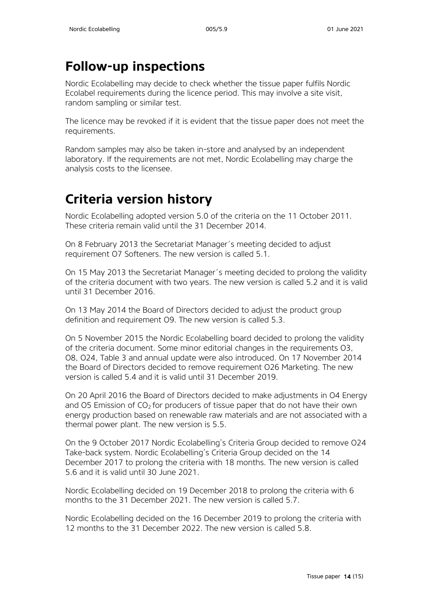# <span id="page-13-0"></span>**Follow-up inspections**

Nordic Ecolabelling may decide to check whether the tissue paper fulfils Nordic Ecolabel requirements during the licence period. This may involve a site visit, random sampling or similar test.

The licence may be revoked if it is evident that the tissue paper does not meet the requirements.

Random samples may also be taken in-store and analysed by an independent laboratory. If the requirements are not met, Nordic Ecolabelling may charge the analysis costs to the licensee.

# <span id="page-13-1"></span>**Criteria version history**

Nordic Ecolabelling adopted version 5.0 of the criteria on the 11 October 2011. These criteria remain valid until the 31 December 2014.

On 8 February 2013 the Secretariat Manager´s meeting decided to adjust requirement O7 Softeners. The new version is called 5.1.

On 15 May 2013 the Secretariat Manager´s meeting decided to prolong the validity of the criteria document with two years. The new version is called 5.2 and it is valid until 31 December 2016.

On 13 May 2014 the Board of Directors decided to adjust the product group definition and requirement O9. The new version is called 5.3.

On 5 November 2015 the Nordic Ecolabelling board decided to prolong the validity of the criteria document. Some minor editorial changes in the requirements O3, O8, O24, Table 3 and annual update were also introduced. On 17 November 2014 the Board of Directors decided to remove requirement O26 Marketing. The new version is called 5.4 and it is valid until 31 December 2019.

On 20 April 2016 the Board of Directors decided to make adjustments in O4 Energy and O5 Emission of  $CO<sub>2</sub>$  for producers of tissue paper that do not have their own energy production based on renewable raw materials and are not associated with a thermal power plant. The new version is 5.5.

On the 9 October 2017 Nordic Ecolabelling's Criteria Group decided to remove O24 Take-back system. Nordic Ecolabelling's Criteria Group decided on the 14 December 2017 to prolong the criteria with 18 months. The new version is called 5.6 and it is valid until 30 June 2021.

Nordic Ecolabelling decided on 19 December 2018 to prolong the criteria with 6 months to the 31 December 2021. The new version is called 5.7.

Nordic Ecolabelling decided on the 16 December 2019 to prolong the criteria with 12 months to the 31 December 2022. The new version is called 5.8.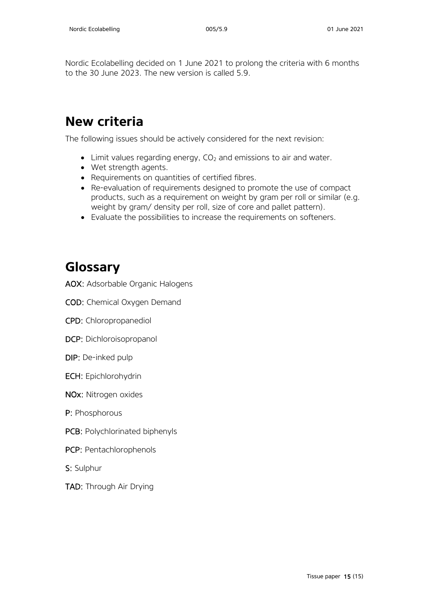Nordic Ecolabelling decided on 1 June 2021 to prolong the criteria with 6 months to the 30 June 2023. The new version is called 5.9.

# <span id="page-14-0"></span>**New criteria**

The following issues should be actively considered for the next revision:

- $\bullet$  Limit values regarding energy, CO<sub>2</sub> and emissions to air and water.
- Wet strength agents.
- Requirements on quantities of certified fibres.
- Re-evaluation of requirements designed to promote the use of compact products, such as a requirement on weight by gram per roll or similar (e.g. weight by gram/ density per roll, size of core and pallet pattern).
- Evaluate the possibilities to increase the requirements on softeners.

# <span id="page-14-1"></span>**Glossary**

AOX: Adsorbable Organic Halogens

COD: Chemical Oxygen Demand

CPD: Chloropropanediol

DCP: Dichloroisopropanol

DIP: De-inked pulp

ECH: Epichlorohydrin

NOx: Nitrogen oxides

P: Phosphorous

PCB: Polychlorinated biphenyls

PCP: Pentachlorophenols

S: Sulphur

TAD: Through Air Drying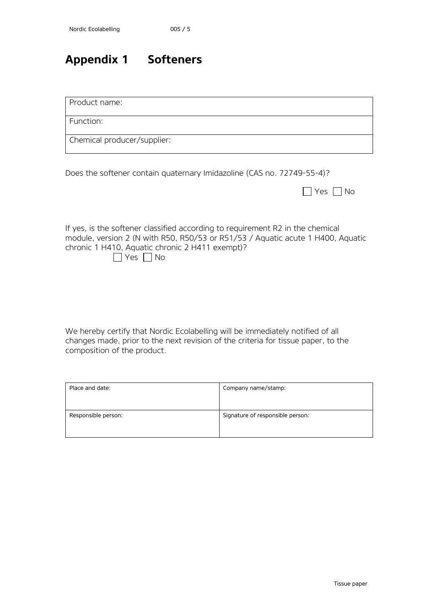## <span id="page-15-0"></span>**Appendix 1 Softeners**

Product name:

Function:

Chemical producer/supplier:

Does the softener contain quaternary Imidazoline (CAS no. 72749-55-4)?

|          | $\cap$ |
|----------|--------|
| ________ |        |

If yes, is the softener classified according to requirement R2 in the chemical module, version 2 (N with R50, R50/53 or R51/53 / Aquatic acute 1 H400, Aquatic chronic 1 H410, Aquatic chronic 2 H411 exempt)?  $\Box$ 

|  | Nο |
|--|----|

We hereby certify that Nordic Ecolabelling will be immediately notified of all changes made, prior to the next revision of the criteria for tissue paper, to the composition of the product.

| Place and date:     | Company name/stamp:              |
|---------------------|----------------------------------|
| Responsible person: | Signature of responsible person: |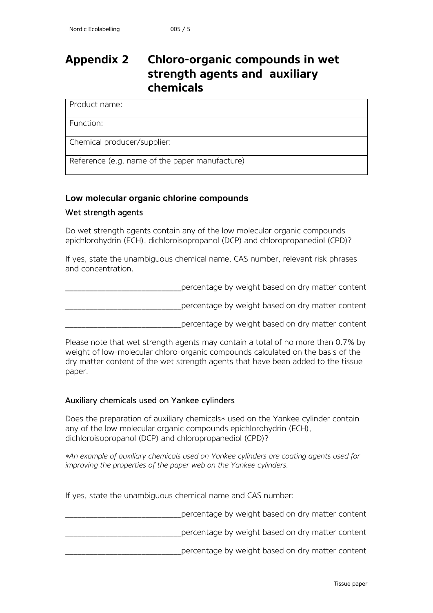### <span id="page-16-0"></span>**Appendix 2 Chloro-organic compounds in wet strength agents and auxiliary chemicals**

Product name:

Function:

Chemical producer/supplier:

Reference (e.g. name of the paper manufacture)

#### **Low molecular organic chlorine compounds**

#### Wet strength agents

Do wet strength agents contain any of the low molecular organic compounds epichlorohydrin (ECH), dichloroisopropanol (DCP) and chloropropanediol (CPD)?

If yes, state the unambiguous chemical name, CAS number, relevant risk phrases and concentration.

percentage by weight based on dry matter content

\_\_\_\_\_\_\_\_\_\_\_\_\_\_\_\_\_\_\_\_\_\_\_\_\_\_\_\_\_percentage by weight based on dry matter content

percentage by weight based on dry matter content

Please note that wet strength agents may contain a total of no more than 0.7% by weight of low-molecular chloro-organic compounds calculated on the basis of the dry matter content of the wet strength agents that have been added to the tissue paper.

#### Auxiliary chemicals used on Yankee cylinders

Does the preparation of auxiliary chemicals\* used on the Yankee cylinder contain any of the low molecular organic compounds epichlorohydrin (ECH), dichloroisopropanol (DCP) and chloropropanediol (CPD)?

*\*An example of auxiliary chemicals used on Yankee cylinders are coating agents used for improving the properties of the paper web on the Yankee cylinders.*

If yes, state the unambiguous chemical name and CAS number:

percentage by weight based on dry matter content \_\_\_\_\_\_\_\_\_\_\_\_\_\_\_\_\_\_\_\_\_\_\_\_\_\_\_\_\_percentage by weight based on dry matter content percentage by weight based on dry matter content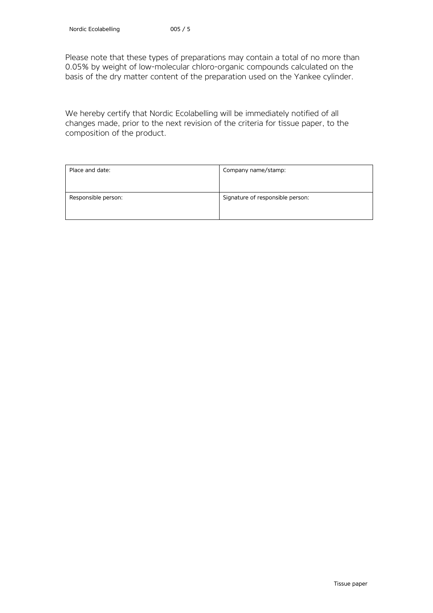Please note that these types of preparations may contain a total of no more than 0.05% by weight of low-molecular chloro-organic compounds calculated on the basis of the dry matter content of the preparation used on the Yankee cylinder.

We hereby certify that Nordic Ecolabelling will be immediately notified of all changes made, prior to the next revision of the criteria for tissue paper, to the composition of the product.

| Place and date:     | Company name/stamp:              |
|---------------------|----------------------------------|
| Responsible person: | Signature of responsible person: |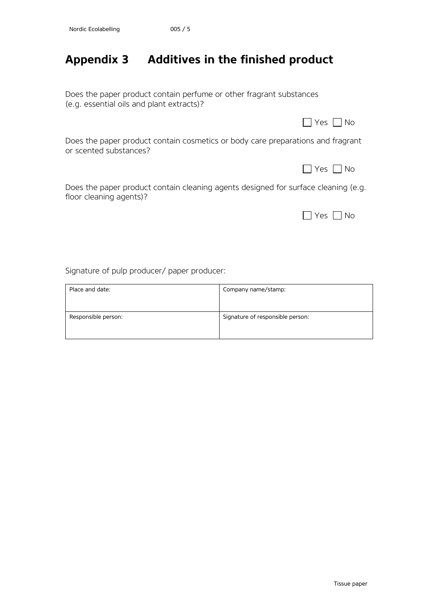## <span id="page-18-0"></span>**Appendix 3 Additives in the finished product**

Does the paper product contain perfume or other fragrant substances (e.g. essential oils and plant extracts)?

|                                                                                                           | Yes  No |
|-----------------------------------------------------------------------------------------------------------|---------|
| Does the paper product contain cosmetics or body care preparations and fragrant<br>or scented substances? |         |

Does the paper product contain cleaning agents designed for surface cleaning (e.g. floor cleaning agents)?

|  |  | ገ |
|--|--|---|
|--|--|---|

 $\Box$  Yes  $\Box$  No

Signature of pulp producer/ paper producer:

| Place and date:     | Company name/stamp:              |
|---------------------|----------------------------------|
| Responsible person: | Signature of responsible person: |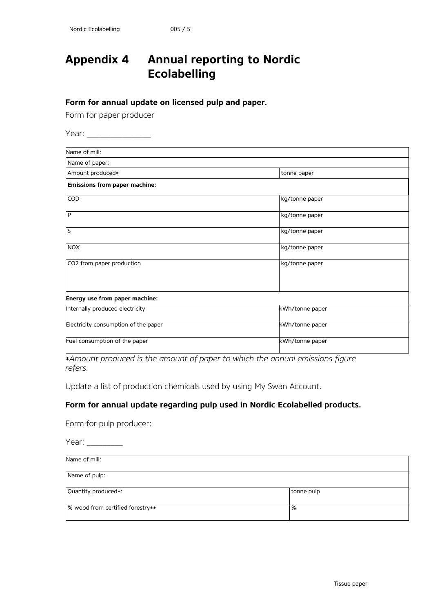## <span id="page-19-0"></span>**Appendix 4 Annual reporting to Nordic Ecolabelling**

**Form for annual update on licensed pulp and paper.**

Form for paper producer

Year: \_\_\_\_\_\_\_\_\_\_\_\_\_\_\_\_

| Name of mill:                        |                 |
|--------------------------------------|-----------------|
| Name of paper:                       |                 |
| Amount produced*                     | tonne paper     |
| <b>Emissions from paper machine:</b> |                 |
| COD                                  | kg/tonne paper  |
| P                                    | kg/tonne paper  |
| S                                    | kg/tonne paper  |
| <b>NOX</b>                           | kg/tonne paper  |
| CO2 from paper production            | kg/tonne paper  |
| Energy use from paper machine:       |                 |
| Internally produced electricity      | kWh/tonne paper |
| Electricity consumption of the paper | kWh/tonne paper |
| Fuel consumption of the paper        | kWh/tonne paper |

*\*Amount produced is the amount of paper to which the annual emissions figure refers.*

Update a list of production chemicals used by using My Swan Account.

#### **Form for annual update regarding pulp used in Nordic Ecolabelled products.**

Form for pulp producer:

| Year:                            |            |
|----------------------------------|------------|
| Name of mill:                    |            |
| Name of pulp:                    |            |
| Quantity produced*:              | tonne pulp |
| % wood from certified forestry** | %          |